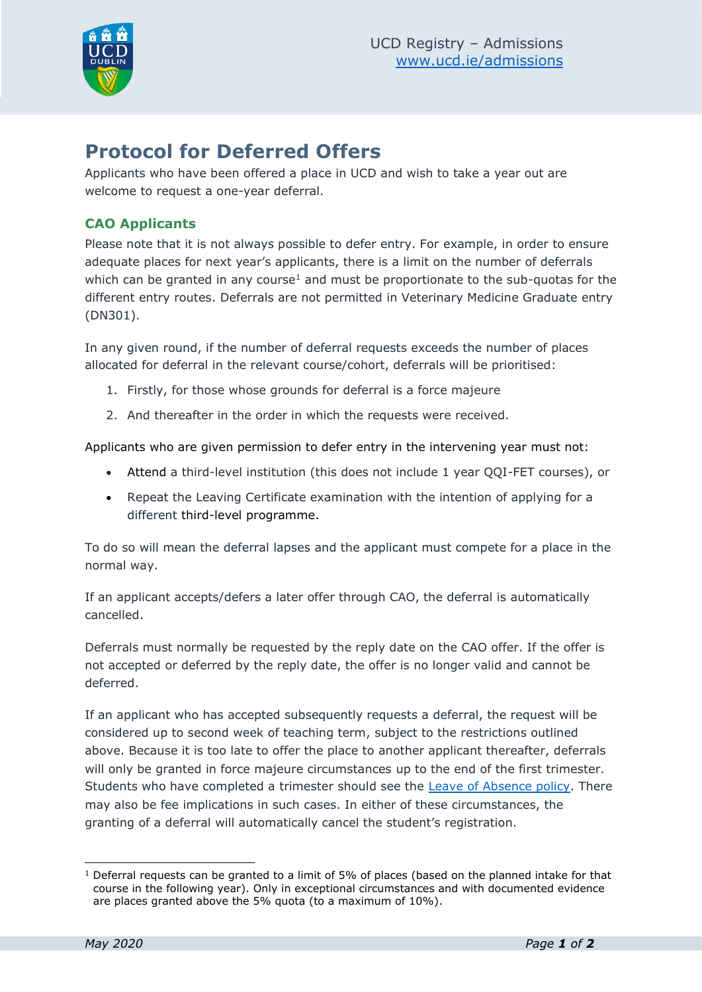

# **Protocol for Deferred Offers**

Applicants who have been offered a place in UCD and wish to take a year out are welcome to request a one-year deferral.

## **CAO Applicants**

Please note that it is not always possible to defer entry. For example, in order to ensure adequate places for next year's applicants, there is a limit on the number of deferrals which can be granted in any course<sup>1</sup> and must be proportionate to the sub-quotas for the different entry routes. Deferrals are not permitted in Veterinary Medicine Graduate entry (DN301).

In any given round, if the number of deferral requests exceeds the number of places allocated for deferral in the relevant course/cohort, deferrals will be prioritised:

- 1. Firstly, for those whose grounds for deferral is a force majeure
- 2. And thereafter in the order in which the requests were received.

Applicants who are given permission to defer entry in the intervening year must not:

- Attend a third-level institution (this does not include 1 year QQI-FET courses), or
- Repeat the Leaving Certificate examination with the intention of applying for a different third-level programme.

To do so will mean the deferral lapses and the applicant must compete for a place in the normal way.

If an applicant accepts/defers a later offer through CAO, the deferral is automatically cancelled.

Deferrals must normally be requested by the reply date on the CAO offer. If the offer is not accepted or deferred by the reply date, the offer is no longer valid and cannot be deferred.

If an applicant who has accepted subsequently requests a deferral, the request will be considered up to second week of teaching term, subject to the restrictions outlined above. Because it is too late to offer the place to another applicant thereafter, deferrals will only be granted in force majeure circumstances up to the end of the first trimester. Students who have completed a trimester should see the [Leave of Absence policy.](https://sisweb.ucd.ie/usis/W_HU_REPORTING.P_DISPLAY_QUERY?p_query=GD120-1&p_parameters=E33E711EE0A8A3B969D4B4A30733DD9A61D7ED2FCB0DDCB22CB86B7151DECFDBE0DA73DC6F3EE2ACE3C69591DF81403AB55A64FDC2A32B9EAF006468076679F18D84C2943BA1147183C52DEE4215EEB8BA43416505B52763C5B8279C0C1A608FDE9D910C901682358D94D31D5DC6C3F07ABBFA184EC08E101131C15B1844F0E41A3564CE6B1C475EA73FEB3165AEEB4D8FBDA1765031D66144F1E03844675DCFA01F1FAD219468E40C03971CD6B4769B) There may also be fee implications in such cases. In either of these circumstances, the granting of a deferral will automatically cancel the student's registration.

<sup>&</sup>lt;sup>1</sup> Deferral requests can be granted to a limit of 5% of places (based on the planned intake for that course in the following year). Only in exceptional circumstances and with documented evidence are places granted above the 5% quota (to a maximum of 10%).